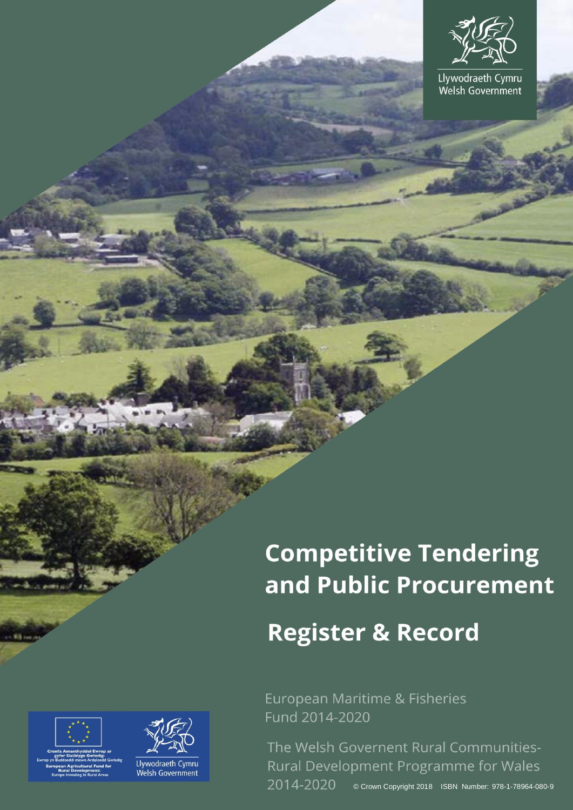

Llywodraeth Cymru<br>Welsh Government

# **Competitive Tendering** and Public Procurement

## **Register & Record**

European Maritime & Fisheries Fund 2014-2020

The Welsh Governent Rural Communities-Rural Development Programme for Wales 2014-2020 © Crown Copyright 2018 ISBN Number: 978-1-78964-080-9





Llywodraeth Cymru Welsh Government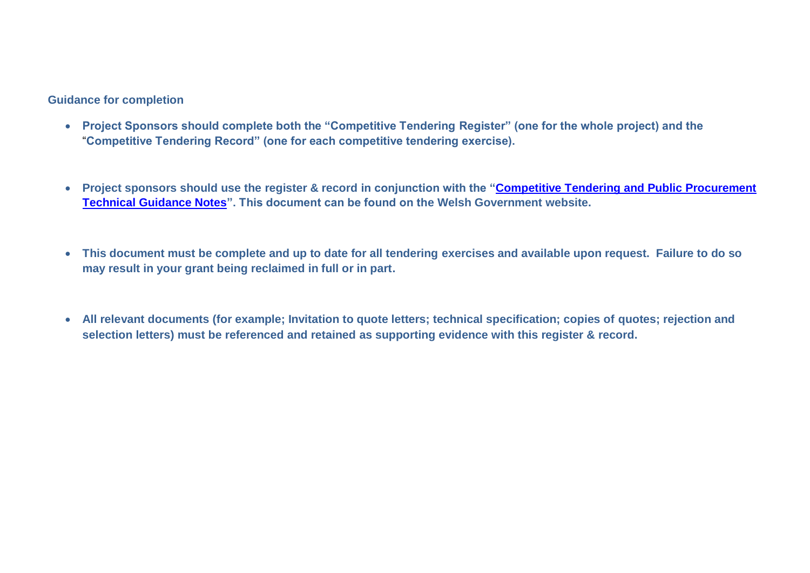#### **Guidance for completion**

- **Project Sponsors should complete both the "Competitive Tendering Register" (one for the whole project) and the** "**Competitive Tendering Record" (one for each competitive tendering exercise).**
- **Project sponsors should use the register & record in conjunction with the ["Competitive Tendering and Public Procurement](https://beta.gov.wales/rural-grants-payments)  [Technical Guidance Notes"](https://beta.gov.wales/rural-grants-payments). This document can be found on the Welsh Government website.**
- **This document must be complete and up to date for all tendering exercises and available upon request. Failure to do so may result in your grant being reclaimed in full or in part.**
- **All relevant documents (for example; Invitation to quote letters; technical specification; copies of quotes; rejection and selection letters) must be referenced and retained as supporting evidence with this register & record.**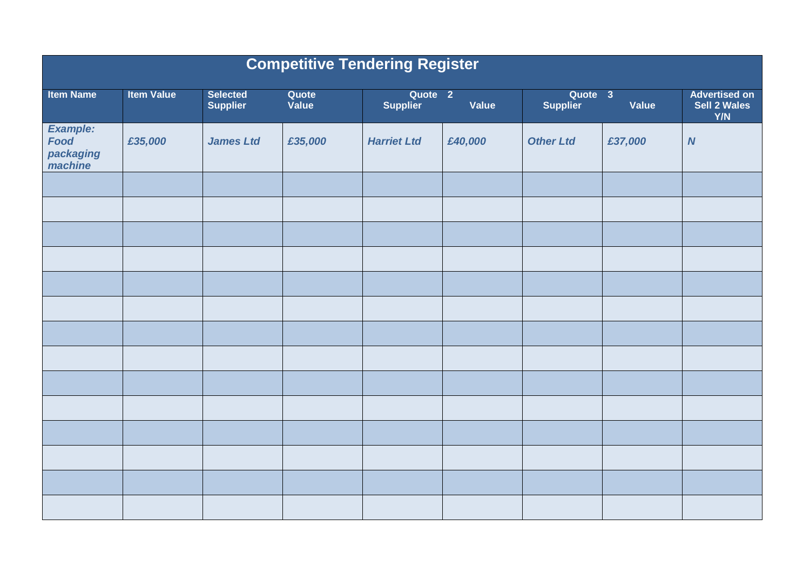| <b>Competitive Tendering Register</b>           |                   |                                    |                |                                       |              |                            |         |                                             |  |
|-------------------------------------------------|-------------------|------------------------------------|----------------|---------------------------------------|--------------|----------------------------|---------|---------------------------------------------|--|
| <b>Item Name</b>                                | <b>Item Value</b> | <b>Selected</b><br><b>Supplier</b> | Quote<br>Value | Quote <sub>2</sub><br><b>Supplier</b> | <b>Value</b> | Quote 3<br><b>Supplier</b> | Value   | <b>Advertised on</b><br>Sell 2 Wales<br>Y/N |  |
| Example:<br><b>Food</b><br>packaging<br>machine | £35,000           | <b>James Ltd</b>                   | £35,000        | <b>Harriet Ltd</b>                    | £40,000      | <b>Other Ltd</b>           | £37,000 | $\boldsymbol{N}$                            |  |
|                                                 |                   |                                    |                |                                       |              |                            |         |                                             |  |
|                                                 |                   |                                    |                |                                       |              |                            |         |                                             |  |
|                                                 |                   |                                    |                |                                       |              |                            |         |                                             |  |
|                                                 |                   |                                    |                |                                       |              |                            |         |                                             |  |
|                                                 |                   |                                    |                |                                       |              |                            |         |                                             |  |
|                                                 |                   |                                    |                |                                       |              |                            |         |                                             |  |
|                                                 |                   |                                    |                |                                       |              |                            |         |                                             |  |
|                                                 |                   |                                    |                |                                       |              |                            |         |                                             |  |
|                                                 |                   |                                    |                |                                       |              |                            |         |                                             |  |
|                                                 |                   |                                    |                |                                       |              |                            |         |                                             |  |
|                                                 |                   |                                    |                |                                       |              |                            |         |                                             |  |
|                                                 |                   |                                    |                |                                       |              |                            |         |                                             |  |
|                                                 |                   |                                    |                |                                       |              |                            |         |                                             |  |
|                                                 |                   |                                    |                |                                       |              |                            |         |                                             |  |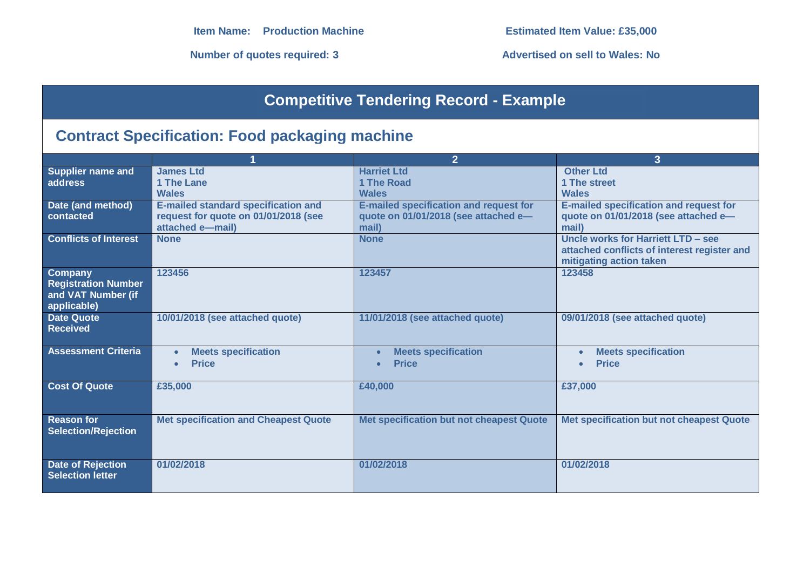**Number of quotes required: 3 Advertised on sell to Wales: No**

## **Competitive Tendering Record - Example**

## **Contract Specification: Food packaging machine**

|                                       |                                             | $\overline{2}$                                | 3                                             |
|---------------------------------------|---------------------------------------------|-----------------------------------------------|-----------------------------------------------|
| <b>Supplier name and</b>              | <b>James Ltd</b>                            | <b>Harriet Ltd</b>                            | <b>Other Ltd</b>                              |
| address                               | 1 The Lane                                  | 1 The Road                                    | 1 The street                                  |
|                                       | <b>Wales</b>                                | <b>Wales</b>                                  | <b>Wales</b>                                  |
| Date (and method)                     | <b>E-mailed standard specification and</b>  | <b>E-mailed specification and request for</b> | <b>E-mailed specification and request for</b> |
| contacted                             | request for quote on 01/01/2018 (see        | quote on 01/01/2018 (see attached e-          | quote on 01/01/2018 (see attached e-          |
|                                       | attached e-mail)                            | mail)                                         | mail)                                         |
| <b>Conflicts of Interest</b>          | <b>None</b>                                 | <b>None</b>                                   | Uncle works for Harriett LTD - see            |
|                                       |                                             |                                               | attached conflicts of interest register and   |
|                                       |                                             |                                               | mitigating action taken                       |
| Company<br><b>Registration Number</b> | 123456                                      | 123457                                        | 123458                                        |
| and VAT Number (if                    |                                             |                                               |                                               |
| applicable)                           |                                             |                                               |                                               |
| <b>Date Quote</b>                     | 10/01/2018 (see attached quote)             | 11/01/2018 (see attached quote)               | 09/01/2018 (see attached quote)               |
| <b>Received</b>                       |                                             |                                               |                                               |
|                                       |                                             |                                               |                                               |
| <b>Assessment Criteria</b>            | <b>Meets specification</b>                  | <b>Meets specification</b>                    | <b>Meets specification</b>                    |
|                                       | <b>Price</b>                                | <b>Price</b>                                  | <b>Price</b>                                  |
|                                       |                                             |                                               |                                               |
| <b>Cost Of Quote</b>                  | £35,000                                     | £40,000                                       | £37,000                                       |
|                                       |                                             |                                               |                                               |
|                                       |                                             |                                               |                                               |
| <b>Reason for</b>                     | <b>Met specification and Cheapest Quote</b> | Met specification but not cheapest Quote      | Met specification but not cheapest Quote      |
| <b>Selection/Rejection</b>            |                                             |                                               |                                               |
|                                       |                                             |                                               |                                               |
|                                       |                                             |                                               |                                               |
| <b>Date of Rejection</b>              | 01/02/2018                                  | 01/02/2018                                    | 01/02/2018                                    |
| <b>Selection letter</b>               |                                             |                                               |                                               |
|                                       |                                             |                                               |                                               |